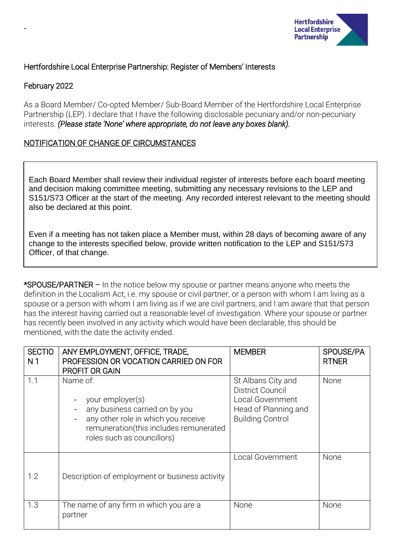

# Hertfordshire Local Enterprise Partnership: Register of Members' Interests

# February 2022

-

As a Board Member/ Co-opted Member/ Sub-Board Member of the Hertfordshire Local Enterprise Partnership (LEP). I declare that I have the following disclosable pecuniary and/or non-pecuniary interests. *(Please state 'None' where appropriate, do not leave any boxes blank).*

# NOTIFICATION OF CHANGE OF CIRCUMSTANCES

Each Board Member shall review their individual register of interests before each board meeting and decision making committee meeting, submitting any necessary revisions to the LEP and S151/S73 Officer at the start of the meeting. Any recorded interest relevant to the meeting should also be declared at this point.

Even if a meeting has not taken place a Member must, within 28 days of becoming aware of any change to the interests specified below, provide written notification to the LEP and S151/S73 Officer, of that change.

\*SPOUSE/PARTNER – In the notice below my spouse or partner means anyone who meets the definition in the Localism Act, i.e. my spouse or civil partner, or a person with whom I am living as a spouse or a person with whom I am living as if we are civil partners, and I am aware that that person has the interest having carried out a reasonable level of investigation. Where your spouse or partner has recently been involved in any activity which would have been declarable, this should be mentioned, with the date the activity ended.

| <b>SECTIO</b><br>N <sub>1</sub> | ANY EMPLOYMENT, OFFICE, TRADE,<br>PROFESSION OR VOCATION CARRIED ON FOR<br><b>PROFIT OR GAIN</b>                                                                              | <b>MEMBER</b>                                                                                                        | SPOUSE/PA<br><b>RTNER</b> |
|---------------------------------|-------------------------------------------------------------------------------------------------------------------------------------------------------------------------------|----------------------------------------------------------------------------------------------------------------------|---------------------------|
| 1.1                             | Name of:<br>your employer(s)<br>any business carried on by you<br>any other role in which you receive<br>remuneration(this includes remunerated<br>roles such as councillors) | St Albans City and<br>District Council<br><b>Local Government</b><br>Head of Planning and<br><b>Building Control</b> | None                      |
| 1.2                             | Description of employment or business activity                                                                                                                                | <b>Local Government</b>                                                                                              | None                      |
| 1.3                             | The name of any firm in which you are a<br>partner                                                                                                                            | None                                                                                                                 | None                      |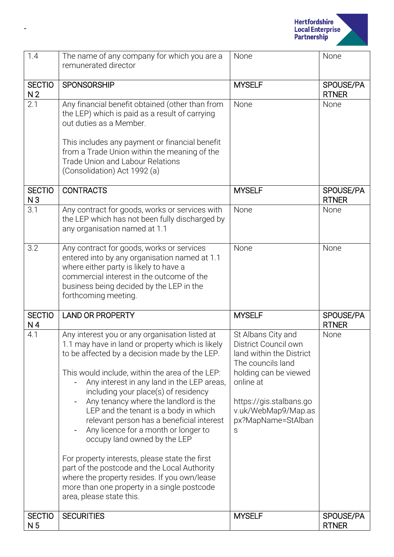

| 1.4                             | The name of any company for which you are a<br>remunerated director                                                                                                                                                                                                                                                                                                                                                                                                                                                                                                                                                                                                                                                              | None                                                                                                                                                                                                           | None                      |
|---------------------------------|----------------------------------------------------------------------------------------------------------------------------------------------------------------------------------------------------------------------------------------------------------------------------------------------------------------------------------------------------------------------------------------------------------------------------------------------------------------------------------------------------------------------------------------------------------------------------------------------------------------------------------------------------------------------------------------------------------------------------------|----------------------------------------------------------------------------------------------------------------------------------------------------------------------------------------------------------------|---------------------------|
| <b>SECTIO</b><br>N <sub>2</sub> | <b>SPONSORSHIP</b>                                                                                                                                                                                                                                                                                                                                                                                                                                                                                                                                                                                                                                                                                                               | <b>MYSELF</b>                                                                                                                                                                                                  | SPOUSE/PA<br><b>RTNER</b> |
| 2.1                             | Any financial benefit obtained (other than from<br>the LEP) which is paid as a result of carrying<br>out duties as a Member.<br>This includes any payment or financial benefit<br>from a Trade Union within the meaning of the<br><b>Trade Union and Labour Relations</b><br>(Consolidation) Act 1992 (a)                                                                                                                                                                                                                                                                                                                                                                                                                        | None                                                                                                                                                                                                           | None                      |
| <b>SECTIO</b><br>N <sub>3</sub> | <b>CONTRACTS</b>                                                                                                                                                                                                                                                                                                                                                                                                                                                                                                                                                                                                                                                                                                                 | <b>MYSELF</b>                                                                                                                                                                                                  | SPOUSE/PA<br><b>RTNER</b> |
| 3.1                             | Any contract for goods, works or services with<br>the LEP which has not been fully discharged by<br>any organisation named at 1.1                                                                                                                                                                                                                                                                                                                                                                                                                                                                                                                                                                                                | None                                                                                                                                                                                                           | None                      |
| 3.2                             | Any contract for goods, works or services<br>entered into by any organisation named at 1.1<br>where either party is likely to have a<br>commercial interest in the outcome of the<br>business being decided by the LEP in the<br>forthcoming meeting.                                                                                                                                                                                                                                                                                                                                                                                                                                                                            | None                                                                                                                                                                                                           | None                      |
| <b>SECTIO</b><br>N <sub>4</sub> | <b>LAND OR PROPERTY</b>                                                                                                                                                                                                                                                                                                                                                                                                                                                                                                                                                                                                                                                                                                          | <b>MYSELF</b>                                                                                                                                                                                                  | SPOUSE/PA<br><b>RTNER</b> |
| 4.1                             | Any interest you or any organisation listed at<br>1.1 may have in land or property which is likely<br>to be affected by a decision made by the LEP.<br>This would include, within the area of the LEP:<br>Any interest in any land in the LEP areas,<br>including your place(s) of residency<br>Any tenancy where the landlord is the<br>LEP and the tenant is a body in which<br>relevant person has a beneficial interest<br>Any licence for a month or longer to<br>occupy land owned by the LEP<br>For property interests, please state the first<br>part of the postcode and the Local Authority<br>where the property resides. If you own/lease<br>more than one property in a single postcode<br>area, please state this. | St Albans City and<br>District Council own<br>land within the District<br>The councils land<br>holding can be viewed<br>online at<br>https://gis.stalbans.go<br>v.uk/WebMap9/Map.as<br>px?MapName=StAlban<br>S | None                      |
| <b>SECTIO</b><br>N <sub>5</sub> | <b>SECURITIES</b>                                                                                                                                                                                                                                                                                                                                                                                                                                                                                                                                                                                                                                                                                                                | <b>MYSELF</b>                                                                                                                                                                                                  | SPOUSE/PA<br><b>RTNER</b> |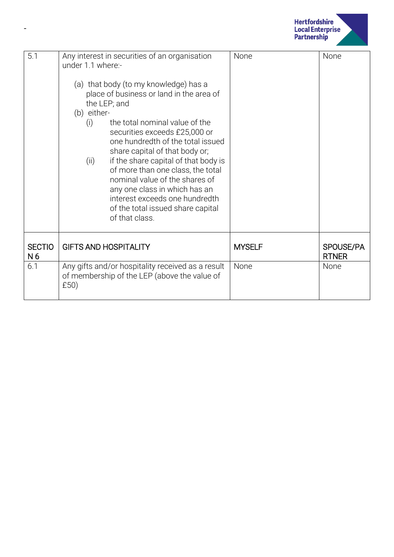

| 5.1                             | Any interest in securities of an organisation<br>under 1.1 where:-<br>(a) that body (to my knowledge) has a<br>place of business or land in the area of<br>the LEP; and<br>(b) either-<br>the total nominal value of the<br>(i)<br>securities exceeds £25,000 or<br>one hundredth of the total issued<br>share capital of that body or;<br>if the share capital of that body is<br>(ii)<br>of more than one class, the total<br>nominal value of the shares of<br>any one class in which has an<br>interest exceeds one hundredth<br>of the total issued share capital<br>of that class. | None          | None                      |
|---------------------------------|------------------------------------------------------------------------------------------------------------------------------------------------------------------------------------------------------------------------------------------------------------------------------------------------------------------------------------------------------------------------------------------------------------------------------------------------------------------------------------------------------------------------------------------------------------------------------------------|---------------|---------------------------|
| <b>SECTIO</b><br>N <sub>6</sub> | <b>GIFTS AND HOSPITALITY</b>                                                                                                                                                                                                                                                                                                                                                                                                                                                                                                                                                             | <b>MYSELF</b> | SPOUSE/PA<br><b>RTNER</b> |
| 6.1                             | Any gifts and/or hospitality received as a result<br>of membership of the LEP (above the value of<br>£50)                                                                                                                                                                                                                                                                                                                                                                                                                                                                                | None          | None                      |

-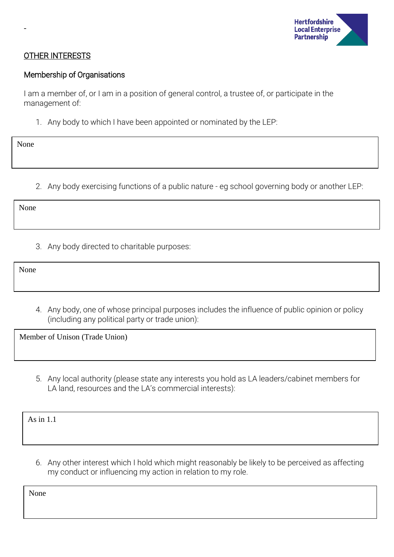

### OTHER INTERESTS

#### Membership of Organisations

I am a member of, or I am in a position of general control, a trustee of, or participate in the management of:

1. Any body to which I have been appointed or nominated by the LEP:

None

-

2. Any body exercising functions of a public nature - eg school governing body or another LEP:

None

3. Any body directed to charitable purposes:

None

4. Any body, one of whose principal purposes includes the influence of public opinion or policy (including any political party or trade union):

Member of Unison (Trade Union)

5. Any local authority (please state any interests you hold as LA leaders/cabinet members for LA land, resources and the LA's commercial interests):

As in 1.1

6. Any other interest which I hold which might reasonably be likely to be perceived as affecting my conduct or influencing my action in relation to my role.

None